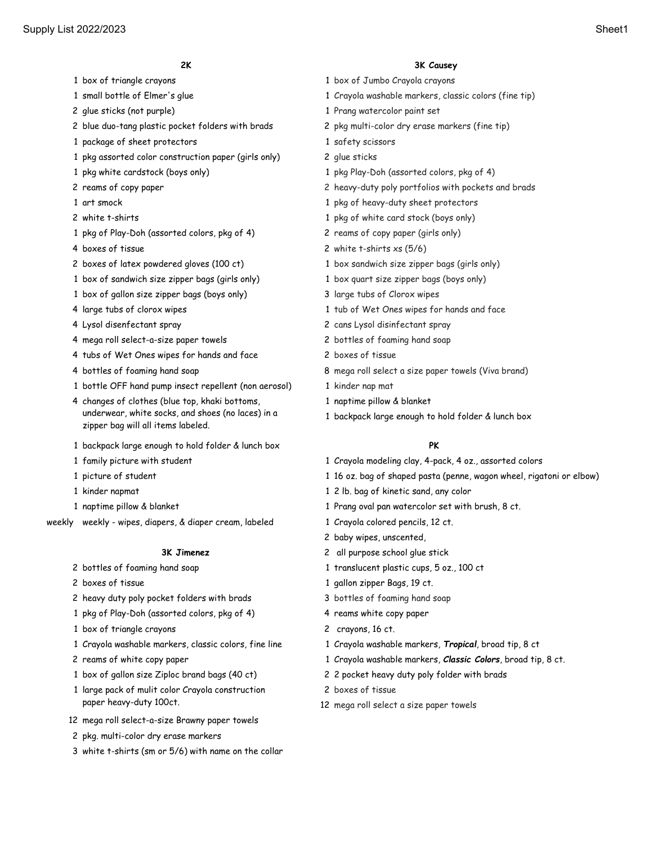- 
- 
- 
- 2 blue duo-tang plastic pocket folders with brads 2 pkg multi-color dry erase markers (fine tip)
- 1 package of sheet protectors and the state of sheet protectors of the state of safety scissors
- pkg assorted color construction paper (girls only) 2 glue sticks
- 
- 
- 
- 
- pkg of Play-Doh (assorted colors, pkg of 4) 2 reams of copy paper (girls only)
- 
- 
- box of sandwich size zipper bags (girls only) 1 box quart size zipper bags (boys only)
- 1 box of gallon size zipper bags (boys only) 3 large tubs of Clorox wipes
- 
- 
- mega roll select-a-size paper towels 2 bottles of foaming hand soap
- 4 tubs of Wet Ones wipes for hands and face 2 boxes of tissue
- 
- bottle OFF hand pump insect repellent (non aerosol) 1 kinder nap mat
- changes of clothes (blue top, khaki bottoms, underwear, white socks, and shoes (no laces) in a zipper bag will all items labeled.
- backpack large enough to hold folder & lunch box **PK**
- 
- 
- 
- 
- weekly weekly wipes, diapers, & diaper cream, labeled 1 Crayola colored pencils, 12 ct.

- 
- 
- 2 heavy duty poly pocket folders with brads 3 bottles of foaming hand soap
- 1 pkg of Play-Doh (assorted colors, pkg of 4) 4 reams white copy paper
- 1 box of triangle crayons 2 crayons, 16 ct.
- 
- 
- 
- large pack of mulit color Crayola construction paper heavy-duty 100ct.
- mega roll select-a-size Brawny paper towels
- pkg. multi-color dry erase markers
- white t-shirts (sm or 5/6) with name on the collar

# **2K 3K Causey**

- box of triangle crayons 1 box of Jumbo Crayola crayons
- small bottle of Elmer's glue 1 Crayola washable markers, classic colors (fine tip)
- glue sticks (not purple) 1 Prang watercolor paint set
	-
	-
	-
- pkg white cardstock (boys only) 1 pkg Play-Doh (assorted colors, pkg of 4)
- reams of copy paper 2 heavy-duty poly portfolios with pockets and brads
- art smock 1 pkg of heavy-duty sheet protectors
- white t-shirts 1 pkg of white card stock (boys only)
	-
- 4 boxes of tissue 2 white t-shirts xs (5/6)
- 2 boxes of latex powdered gloves (100 ct) 1 box sandwich size zipper bags (girls only)
	-
	-
- large tubs of clorox wipes 1 tub of Wet Ones wipes for hands and face
- Lysol disenfectant spray 2 cans Lysol disinfectant spray
	-
	-
- bottles of foaming hand soap 8 mega roll select a size paper towels (Viva brand)
	-
	- naptime pillow & blanket
	- backpack large enough to hold folder & lunch box

- family picture with student 1 Crayola modeling clay, 4-pack, 4 oz., assorted colors
- picture of student 1 16 oz. bag of shaped pasta (penne, wagon wheel, rigatoni or elbow)
- kinder napmat 1 2 lb. bag of kinetic sand, any color
- naptime pillow & blanket 1 Prang oval pan watercolor set with brush, 8 ct.
	-
	- baby wipes, unscented,
	- **3K Jimenez** 2 all purpose school glue stick
- 2 bottles of foaming hand soap 1 translucent plastic cups, 5 oz., 100 ct
- 2 boxes of tissue 1 gallon zipper Bags, 19 ct.
	-
	-
	-
- Crayola washable markers, classic colors, fine line 1 Crayola washable markers, *Tropical*, broad tip, 8 ct
- reams of white copy paper 1 Crayola washable markers, *Classic Colors*, broad tip, 8 ct.
- box of gallon size Ziploc brand bags (40 ct) 2 2 pocket heavy duty poly folder with brads
	- boxes of tissue
	- mega roll select a size paper towels